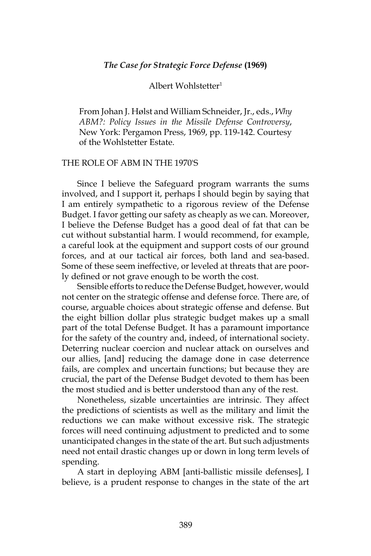### Albert Wohlstetter1

From Johan J. Hølst and William Schneider, Jr., eds., *Why ABM?: Policy Issues in the Missile Defense Controversy*, New York: Pergamon Press, 1969, pp. 119-142. Courtesy of the Wohlstetter Estate.

## THE ROLE OF ABM IN THE 1970'S

Since I believe the Safeguard program warrants the sums involved, and I support it, perhaps I should begin by saying that I am entirely sympathetic to a rigorous review of the Defense Budget. I favor getting our safety as cheaply as we can. Moreover, I believe the Defense Budget has a good deal of fat that can be cut without substantial harm. I would recommend, for example, a careful look at the equipment and support costs of our ground forces, and at our tactical air forces, both land and sea-based. Some of these seem ineffective, or leveled at threats that are poorly defined or not grave enough to be worth the cost.

Sensible efforts to reduce the Defense Budget, however, would not center on the strategic offense and defense force. There are, of course, arguable choices about strategic offense and defense. But the eight billion dollar plus strategic budget makes up a small part of the total Defense Budget. It has a paramount importance for the safety of the country and, indeed, of international society. Deterring nuclear coercion and nuclear attack on ourselves and our allies, [and] reducing the damage done in case deterrence fails, are complex and uncertain functions; but because they are crucial, the part of the Defense Budget devoted to them has been the most studied and is better understood than any of the rest.

Nonetheless, sizable uncertainties are intrinsic. They affect the predictions of scientists as well as the military and limit the reductions we can make without excessive risk. The strategic forces will need continuing adjustment to predicted and to some unanticipated changes in the state of the art. But such adjustments need not entail drastic changes up or down in long term levels of spending.

A start in deploying ABM [anti-ballistic missile defenses], I believe, is a prudent response to changes in the state of the art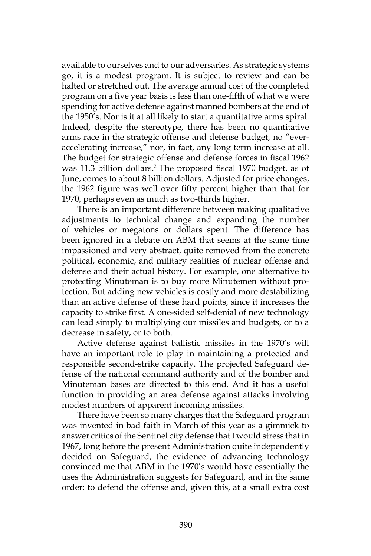available to ourselves and to our adversaries. As strategic systems go, it is a modest program. It is subject to review and can be halted or stretched out. The average annual cost of the completed program on a five year basis is less than one-fifth of what we were spending for active defense against manned bombers at the end of the 1950's. Nor is it at all likely to start a quantitative arms spiral. Indeed, despite the stereotype, there has been no quantitative arms race in the strategic offense and defense budget, no "everaccelerating increase," nor, in fact, any long term increase at all. The budget for strategic offense and defense forces in fiscal 1962 was 11.3 billion dollars.<sup>2</sup> The proposed fiscal 1970 budget, as of June, comes to about 8 billion dollars. Adjusted for price changes, the 1962 figure was well over fifty percent higher than that for 1970, perhaps even as much as two-thirds higher.

There is an important difference between making qualitative adjustments to technical change and expanding the number of vehicles or megatons or dollars spent. The difference has been ignored in a debate on ABM that seems at the same time impassioned and very abstract, quite removed from the concrete political, economic, and military realities of nuclear offense and defense and their actual history. For example, one alternative to protecting Minuteman is to buy more Minutemen without protection. But adding new vehicles is costly and more destabilizing than an active defense of these hard points, since it increases the capacity to strike first. A one-sided self-denial of new technology can lead simply to multiplying our missiles and budgets, or to a decrease in safety, or to both.

Active defense against ballistic missiles in the 1970's will have an important role to play in maintaining a protected and responsible second-strike capacity. The projected Safeguard defense of the national command authority and of the bomber and Minuteman bases are directed to this end. And it has a useful function in providing an area defense against attacks involving modest numbers of apparent incoming missiles.

There have been so many charges that the Safeguard program was invented in bad faith in March of this year as a gimmick to answer critics of the Sentinel city defense that I would stress that in 1967, long before the present Administration quite independently decided on Safeguard, the evidence of advancing technology convinced me that ABM in the 1970's would have essentially the uses the Administration suggests for Safeguard, and in the same order: to defend the offense and, given this, at a small extra cost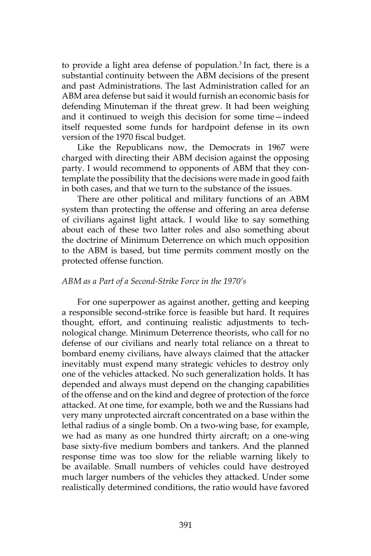to provide a light area defense of population.3 In fact, there is a substantial continuity between the ABM decisions of the present and past Administrations. The last Administration called for an ABM area defense but said it would furnish an economic basis for defending Minuteman if the threat grew. It had been weighing and it continued to weigh this decision for some time—indeed itself requested some funds for hardpoint defense in its own version of the 1970 fiscal budget.

Like the Republicans now, the Democrats in 1967 were charged with directing their ABM decision against the opposing party. I would recommend to opponents of ABM that they contemplate the possibility that the decisions were made in good faith in both cases, and that we turn to the substance of the issues.

There are other political and military functions of an ABM system than protecting the offense and offering an area defense of civilians against light attack. I would like to say something about each of these two latter roles and also something about the doctrine of Minimum Deterrence on which much opposition to the ABM is based, but time permits comment mostly on the protected offense function.

### *ABM as a Part of a Second-Strike Force in the 1970's*

For one superpower as against another, getting and keeping a responsible second-strike force is feasible but hard. It requires thought, effort, and continuing realistic adjustments to technological change. Minimum Deterrence theorists, who call for no defense of our civilians and nearly total reliance on a threat to bombard enemy civilians, have always claimed that the attacker inevitably must expend many strategic vehicles to destroy only one of the vehicles attacked. No such generalization holds. It has depended and always must depend on the changing capabilities of the offense and on the kind and degree of protection of the force attacked. At one time, for example, both we and the Russians had very many unprotected aircraft concentrated on a base within the lethal radius of a single bomb. On a two-wing base, for example, we had as many as one hundred thirty aircraft; on a one-wing base sixty-five medium bombers and tankers. And the planned response time was too slow for the reliable warning likely to be available. Small numbers of vehicles could have destroyed much larger numbers of the vehicles they attacked. Under some realistically determined conditions, the ratio would have favored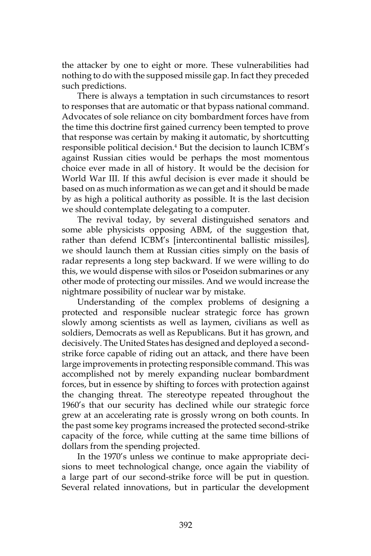the attacker by one to eight or more. These vulnerabilities had nothing to do with the supposed missile gap. In fact they preceded such predictions.

There is always a temptation in such circumstances to resort to responses that are automatic or that bypass national command. Advocates of sole reliance on city bombardment forces have from the time this doctrine first gained currency been tempted to prove that response was certain by making it automatic, by shortcutting responsible political decision.<sup>4</sup> But the decision to launch ICBM's against Russian cities would be perhaps the most momentous choice ever made in all of history. It would be the decision for World War III. If this awful decision is ever made it should be based on as much information as we can get and it should be made by as high a political authority as possible. It is the last decision we should contemplate delegating to a computer.

The revival today, by several distinguished senators and some able physicists opposing ABM, of the suggestion that, rather than defend ICBM's [intercontinental ballistic missiles], we should launch them at Russian cities simply on the basis of radar represents a long step backward. If we were willing to do this, we would dispense with silos or Poseidon submarines or any other mode of protecting our missiles. And we would increase the nightmare possibility of nuclear war by mistake.

Understanding of the complex problems of designing a protected and responsible nuclear strategic force has grown slowly among scientists as well as laymen, civilians as well as soldiers, Democrats as well as Republicans. But it has grown, and decisively. The United States has designed and deployed a secondstrike force capable of riding out an attack, and there have been large improvements in protecting responsible command. This was accomplished not by merely expanding nuclear bombardment forces, but in essence by shifting to forces with protection against the changing threat. The stereotype repeated throughout the 1960's that our security has declined while our strategic force grew at an accelerating rate is grossly wrong on both counts. In the past some key programs increased the protected second-strike capacity of the force, while cutting at the same time billions of dollars from the spending projected.

In the 1970's unless we continue to make appropriate decisions to meet technological change, once again the viability of a large part of our second-strike force will be put in question. Several related innovations, but in particular the development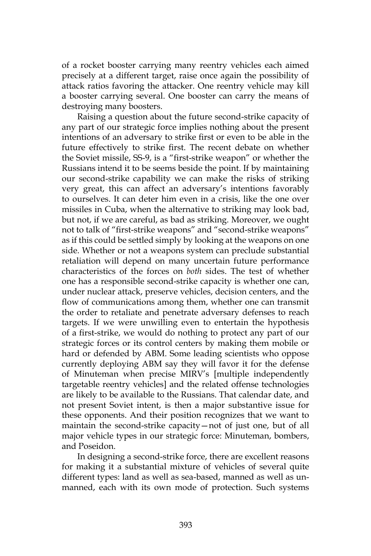of a rocket booster carrying many reentry vehicles each aimed precisely at a different target, raise once again the possibility of attack ratios favoring the attacker. One reentry vehicle may kill a booster carrying several. One booster can carry the means of destroying many boosters.

Raising a question about the future second-strike capacity of any part of our strategic force implies nothing about the present intentions of an adversary to strike first or even to be able in the future effectively to strike first. The recent debate on whether the Soviet missile, SS-9, is a "first-strike weapon" or whether the Russians intend it to be seems beside the point. If by maintaining our second-strike capability we can make the risks of striking very great, this can affect an adversary's intentions favorably to ourselves. It can deter him even in a crisis, like the one over missiles in Cuba, when the alternative to striking may look bad, but not, if we are careful, as bad as striking. Moreover, we ought not to talk of "first-strike weapons" and "second-strike weapons" as if this could be settled simply by looking at the weapons on one side. Whether or not a weapons system can preclude substantial retaliation will depend on many uncertain future performance characteristics of the forces on *both* sides. The test of whether one has a responsible second-strike capacity is whether one can, under nuclear attack, preserve vehicles, decision centers, and the flow of communications among them, whether one can transmit the order to retaliate and penetrate adversary defenses to reach targets. If we were unwilling even to entertain the hypothesis of a first-strike, we would do nothing to protect any part of our strategic forces or its control centers by making them mobile or hard or defended by ABM. Some leading scientists who oppose currently deploying ABM say they will favor it for the defense of Minuteman when precise MIRV's [multiple independently targetable reentry vehicles] and the related offense technologies are likely to be available to the Russians. That calendar date, and not present Soviet intent, is then a major substantive issue for these opponents. And their position recognizes that we want to maintain the second-strike capacity—not of just one, but of all major vehicle types in our strategic force: Minuteman, bombers, and Poseidon.

In designing a second-strike force, there are excellent reasons for making it a substantial mixture of vehicles of several quite different types: land as well as sea-based, manned as well as unmanned, each with its own mode of protection. Such systems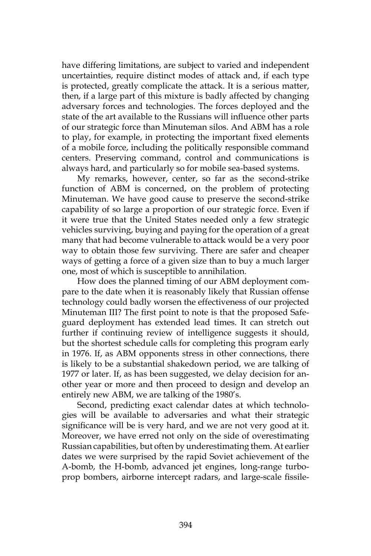have differing limitations, are subject to varied and independent uncertainties, require distinct modes of attack and, if each type is protected, greatly complicate the attack. It is a serious matter, then, if a large part of this mixture is badly affected by changing adversary forces and technologies. The forces deployed and the state of the art available to the Russians will influence other parts of our strategic force than Minuteman silos. And ABM has a role to play, for example, in protecting the important fixed elements of a mobile force, including the politically responsible command centers. Preserving command, control and communications is always hard, and particularly so for mobile sea-based systems.

My remarks, however, center, so far as the second-strike function of ABM is concerned, on the problem of protecting Minuteman. We have good cause to preserve the second-strike capability of so large a proportion of our strategic force. Even if it were true that the United States needed only a few strategic vehicles surviving, buying and paying for the operation of a great many that had become vulnerable to attack would be a very poor way to obtain those few surviving. There are safer and cheaper ways of getting a force of a given size than to buy a much larger one, most of which is susceptible to annihilation.

How does the planned timing of our ABM deployment compare to the date when it is reasonably likely that Russian offense technology could badly worsen the effectiveness of our projected Minuteman III? The first point to note is that the proposed Safeguard deployment has extended lead times. It can stretch out further if continuing review of intelligence suggests it should, but the shortest schedule calls for completing this program early in 1976. If, as ABM opponents stress in other connections, there is likely to be a substantial shakedown period, we are talking of 1977 or later. If, as has been suggested, we delay decision for another year or more and then proceed to design and develop an entirely new ABM, we are talking of the 1980's.

Second, predicting exact calendar dates at which technologies will be available to adversaries and what their strategic significance will be is very hard, and we are not very good at it. Moreover, we have erred not only on the side of overestimating Russian capabilities, but often by underestimating them. At earlier dates we were surprised by the rapid Soviet achievement of the A-bomb, the H-bomb, advanced jet engines, long-range turboprop bombers, airborne intercept radars, and large-scale fissile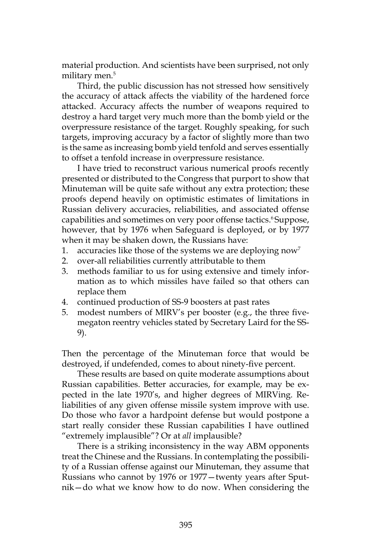material production. And scientists have been surprised, not only military men.<sup>5</sup>

Third, the public discussion has not stressed how sensitively the accuracy of attack affects the viability of the hardened force attacked. Accuracy affects the number of weapons required to destroy a hard target very much more than the bomb yield or the overpressure resistance of the target. Roughly speaking, for such targets, improving accuracy by a factor of slightly more than two is the same as increasing bomb yield tenfold and serves essentially to offset a tenfold increase in overpressure resistance.

I have tried to reconstruct various numerical proofs recently presented or distributed to the Congress that purport to show that Minuteman will be quite safe without any extra protection; these proofs depend heavily on optimistic estimates of limitations in Russian delivery accuracies, reliabilities, and associated offense capabilities and sometimes on very poor offense tactics.<sup>6</sup> Suppose, however, that by 1976 when Safeguard is deployed, or by 1977 when it may be shaken down, the Russians have:

- 1. accuracies like those of the systems we are deploying now<sup>7</sup>
- 2. over-all reliabilities currently attributable to them
- 3. methods familiar to us for using extensive and timely information as to which missiles have failed so that others can replace them
- 4. continued production of SS-9 boosters at past rates
- 5. modest numbers of MIRV's per booster (e.g., the three fivemegaton reentry vehicles stated by Secretary Laird for the SS-9).

Then the percentage of the Minuteman force that would be destroyed, if undefended, comes to about ninety-five percent.

These results are based on quite moderate assumptions about Russian capabilities. Better accuracies, for example, may be expected in the late 1970's, and higher degrees of MIRVing. Reliabilities of any given offense missile system improve with use. Do those who favor a hardpoint defense but would postpone a start really consider these Russian capabilities I have outlined "extremely implausible"? Or at *all* implausible?

There is a striking inconsistency in the way ABM opponents treat the Chinese and the Russians. In contemplating the possibility of a Russian offense against our Minuteman, they assume that Russians who cannot by 1976 or 1977—twenty years after Sputnik—do what we know how to do now. When considering the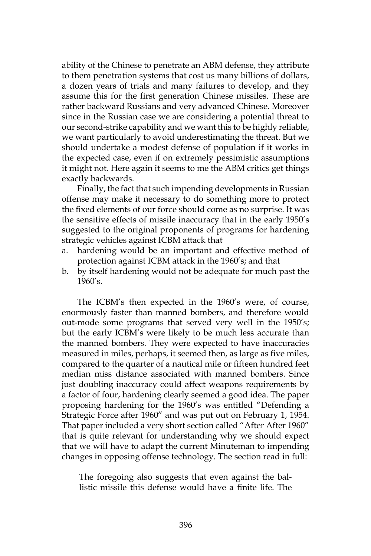ability of the Chinese to penetrate an ABM defense, they attribute to them penetration systems that cost us many billions of dollars, a dozen years of trials and many failures to develop, and they assume this for the first generation Chinese missiles. These are rather backward Russians and very advanced Chinese. Moreover since in the Russian case we are considering a potential threat to our second-strike capability and we want this to be highly reliable, we want particularly to avoid underestimating the threat. But we should undertake a modest defense of population if it works in the expected case, even if on extremely pessimistic assumptions it might not. Here again it seems to me the ABM critics get things exactly backwards.

Finally, the fact that such impending developments in Russian offense may make it necessary to do something more to protect the fixed elements of our force should come as no surprise. It was the sensitive effects of missile inaccuracy that in the early 1950's suggested to the original proponents of programs for hardening strategic vehicles against ICBM attack that

- a. hardening would be an important and effective method of protection against ICBM attack in the 1960's; and that
- b. by itself hardening would not be adequate for much past the 1960's.

The ICBM's then expected in the 1960's were, of course, enormously faster than manned bombers, and therefore would out-mode some programs that served very well in the 1950's; but the early ICBM's were likely to be much less accurate than the manned bombers. They were expected to have inaccuracies measured in miles, perhaps, it seemed then, as large as five miles, compared to the quarter of a nautical mile or fifteen hundred feet median miss distance associated with manned bombers. Since just doubling inaccuracy could affect weapons requirements by a factor of four, hardening clearly seemed a good idea. The paper proposing hardening for the 1960's was entitled "Defending a Strategic Force after 1960" and was put out on February 1, 1954. That paper included a very short section called "After After 1960" that is quite relevant for understanding why we should expect that we will have to adapt the current Minuteman to impending changes in opposing offense technology. The section read in full:

The foregoing also suggests that even against the ballistic missile this defense would have a finite life. The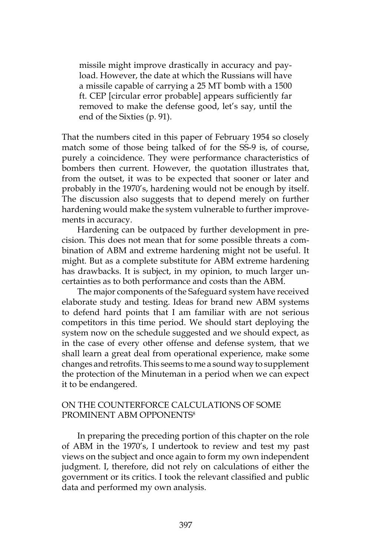missile might improve drastically in accuracy and payload. However, the date at which the Russians will have a missile capable of carrying a 25 MT bomb with a 1500 ft. CEP [circular error probable] appears sufficiently far removed to make the defense good, let's say, until the end of the Sixties (p. 91).

That the numbers cited in this paper of February 1954 so closely match some of those being talked of for the SS-9 is, of course, purely a coincidence. They were performance characteristics of bombers then current. However, the quotation illustrates that, from the outset, it was to be expected that sooner or later and probably in the 1970's, hardening would not be enough by itself. The discussion also suggests that to depend merely on further hardening would make the system vulnerable to further improvements in accuracy.

Hardening can be outpaced by further development in precision. This does not mean that for some possible threats a combination of ABM and extreme hardening might not be useful. It might. But as a complete substitute for ABM extreme hardening has drawbacks. It is subject, in my opinion, to much larger uncertainties as to both performance and costs than the ABM.

The major components of the Safeguard system have received elaborate study and testing. Ideas for brand new ABM systems to defend hard points that I am familiar with are not serious competitors in this time period. We should start deploying the system now on the schedule suggested and we should expect, as in the case of every other offense and defense system, that we shall learn a great deal from operational experience, make some changes and retrofits. This seems to me a sound way to supplement the protection of the Minuteman in a period when we can expect it to be endangered.

## ON THE COUNTERFORCE CALCULATIONS OF SOME PROMINENT ABM OPPONENTS<sup>8</sup>

In preparing the preceding portion of this chapter on the role of ABM in the 1970's, I undertook to review and test my past views on the subject and once again to form my own independent judgment. I, therefore, did not rely on calculations of either the government or its critics. I took the relevant classified and public data and performed my own analysis.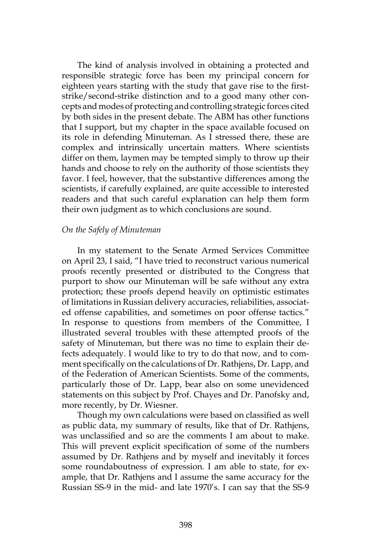The kind of analysis involved in obtaining a protected and responsible strategic force has been my principal concern for eighteen years starting with the study that gave rise to the firststrike/second-strike distinction and to a good many other concepts and modes of protecting and controlling strategic forces cited by both sides in the present debate. The ABM has other functions that I support, but my chapter in the space available focused on its role in defending Minuteman. As I stressed there, these are complex and intrinsically uncertain matters. Where scientists differ on them, laymen may be tempted simply to throw up their hands and choose to rely on the authority of those scientists they favor. I feel, however, that the substantive differences among the scientists, if carefully explained, are quite accessible to interested readers and that such careful explanation can help them form their own judgment as to which conclusions are sound.

### *On the Safely of Minuteman*

In my statement to the Senate Armed Services Committee on April 23, I said, "I have tried to reconstruct various numerical proofs recently presented or distributed to the Congress that purport to show our Minuteman will be safe without any extra protection; these proofs depend heavily on optimistic estimates of limitations in Russian delivery accuracies, reliabilities, associated offense capabilities, and sometimes on poor offense tactics." In response to questions from members of the Committee, I illustrated several troubles with these attempted proofs of the safety of Minuteman, but there was no time to explain their defects adequately. I would like to try to do that now, and to comment specifically on the calculations of Dr. Rathjens, Dr. Lapp, and of the Federation of American Scientists. Some of the comments, particularly those of Dr. Lapp, bear also on some unevidenced statements on this subject by Prof. Chayes and Dr. Panofsky and, more recently, by Dr. Wiesner.

Though my own calculations were based on classified as well as public data, my summary of results, like that of Dr. Rathjens, was unclassified and so are the comments I am about to make. This will prevent explicit specification of some of the numbers assumed by Dr. Rathjens and by myself and inevitably it forces some roundaboutness of expression. I am able to state, for example, that Dr. Rathjens and I assume the same accuracy for the Russian SS-9 in the mid- and late 1970's. I can say that the SS-9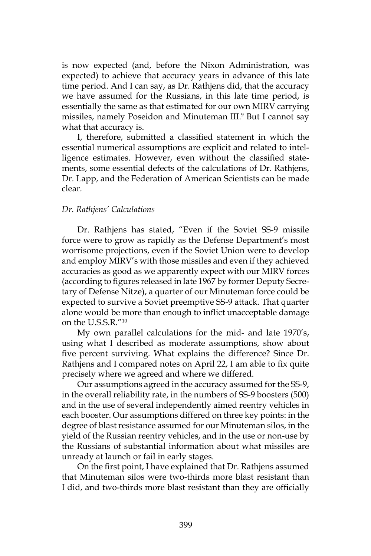is now expected (and, before the Nixon Administration, was expected) to achieve that accuracy years in advance of this late time period. And I can say, as Dr. Rathjens did, that the accuracy we have assumed for the Russians, in this late time period, is essentially the same as that estimated for our own MIRV carrying missiles, namely Poseidon and Minuteman III.9 But I cannot say what that accuracy is.

I, therefore, submitted a classified statement in which the essential numerical assumptions are explicit and related to intelligence estimates. However, even without the classified statements, some essential defects of the calculations of Dr. Rathjens, Dr. Lapp, and the Federation of American Scientists can be made clear.

### *Dr. Rathjens' Calculations*

Dr. Rathjens has stated, "Even if the Soviet SS-9 missile force were to grow as rapidly as the Defense Department's most worrisome projections, even if the Soviet Union were to develop and employ MIRV's with those missiles and even if they achieved accuracies as good as we apparently expect with our MIRV forces (according to figures released in late 1967 by former Deputy Secretary of Defense Nitze), a quarter of our Minuteman force could be expected to survive a Soviet preemptive SS-9 attack. That quarter alone would be more than enough to inflict unacceptable damage on the U.S.S.R."10

My own parallel calculations for the mid- and late 1970's, using what I described as moderate assumptions, show about five percent surviving. What explains the difference? Since Dr. Rathjens and I compared notes on April 22, I am able to fix quite precisely where we agreed and where we differed.

Our assumptions agreed in the accuracy assumed for the SS-9, in the overall reliability rate, in the numbers of SS-9 boosters (500) and in the use of several independently aimed reentry vehicles in each booster. Our assumptions differed on three key points: in the degree of blast resistance assumed for our Minuteman silos, in the yield of the Russian reentry vehicles, and in the use or non-use by the Russians of substantial information about what missiles are unready at launch or fail in early stages.

On the first point, I have explained that Dr. Rathjens assumed that Minuteman silos were two-thirds more blast resistant than I did, and two-thirds more blast resistant than they are officially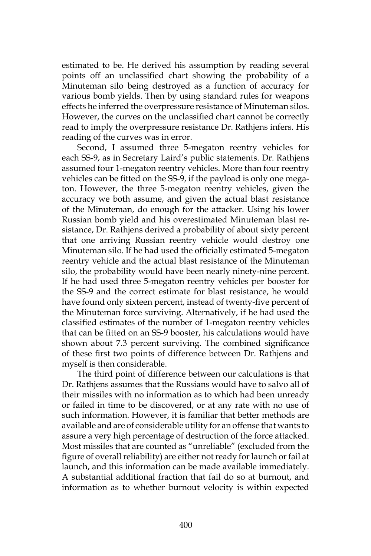estimated to be. He derived his assumption by reading several points off an unclassified chart showing the probability of a Minuteman silo being destroyed as a function of accuracy for various bomb yields. Then by using standard rules for weapons effects he inferred the overpressure resistance of Minuteman silos. However, the curves on the unclassified chart cannot be correctly read to imply the overpressure resistance Dr. Rathjens infers. His reading of the curves was in error.

Second, I assumed three 5-megaton reentry vehicles for each SS-9, as in Secretary Laird's public statements. Dr. Rathjens assumed four 1-megaton reentry vehicles. More than four reentry vehicles can be fitted on the SS-9, if the payload is only one megaton. However, the three 5-megaton reentry vehicles, given the accuracy we both assume, and given the actual blast resistance of the Minuteman, do enough for the attacker. Using his lower Russian bomb yield and his overestimated Minuteman blast resistance, Dr. Rathjens derived a probability of about sixty percent that one arriving Russian reentry vehicle would destroy one Minuteman silo. If he had used the officially estimated 5-megaton reentry vehicle and the actual blast resistance of the Minuteman silo, the probability would have been nearly ninety-nine percent. If he had used three 5-megaton reentry vehicles per booster for the SS-9 and the correct estimate for blast resistance, he would have found only sixteen percent, instead of twenty-five percent of the Minuteman force surviving. Alternatively, if he had used the classified estimates of the number of 1-megaton reentry vehicles that can be fitted on an SS-9 booster, his calculations would have shown about 7.3 percent surviving. The combined significance of these first two points of difference between Dr. Rathjens and myself is then considerable.

The third point of difference between our calculations is that Dr. Rathjens assumes that the Russians would have to salvo all of their missiles with no information as to which had been unready or failed in time to be discovered, or at any rate with no use of such information. However, it is familiar that better methods are available and are of considerable utility for an offense that wants to assure a very high percentage of destruction of the force attacked. Most missiles that are counted as "unreliable" (excluded from the figure of overall reliability) are either not ready for launch or fail at launch, and this information can be made available immediately. A substantial additional fraction that fail do so at burnout, and information as to whether burnout velocity is within expected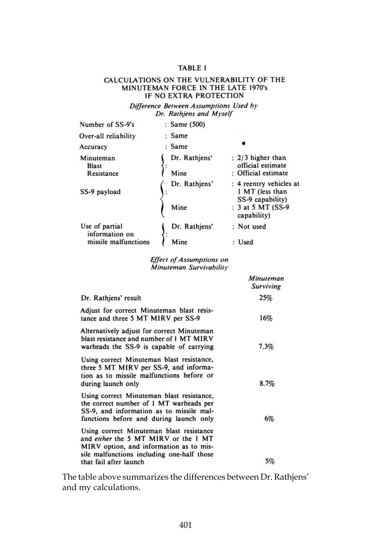### **TABLE I**

#### CALCULATIONS ON THE VULNERABILITY OF THE MINUTEMAN FORCE IN THE LATE 1970's IF NO EXTRA PROTECTION

#### Difference Between Assumptions Used by Dr. Rathjens and Myself

| Number of SS-9's                        | : Same $(500)$        |                                                                 |
|-----------------------------------------|-----------------------|-----------------------------------------------------------------|
| Over-all reliability                    | : Same                |                                                                 |
| Accuracy                                | : Same                |                                                                 |
| Minuteman<br><b>Blast</b><br>Resistance | Dr. Rathjens'<br>Mine | : $2/3$ higher than<br>official estimate<br>: Official estimate |
| SS-9 payload                            | Dr. Rathjens'         | : 4 reentry vehicles at<br>1 MT (less than<br>SS-9 capability)  |
|                                         | Mine                  | : 3 at 5 MT (SS-9<br>capability)                                |
| Use of partial<br>information on        | Dr. Rathjens'         | : Not used                                                      |
| missile malfunctions                    | Mine                  | : Used                                                          |

#### Effect of Assumptions on Minuteman Survivability

|                                                                                                                                                                             | Minuteman<br><b>Surviving</b> |
|-----------------------------------------------------------------------------------------------------------------------------------------------------------------------------|-------------------------------|
| Dr. Rathiens' result                                                                                                                                                        | 25%                           |
| Adjust for correct Minuteman blast resis-<br>tance and three 5 MT MIRV per SS-9                                                                                             | 16%                           |
| Alternatively adjust for correct Minuteman<br>blast resistance and number of 1 MT MIRV<br>warheads the SS-9 is capable of carrying                                          | 7.3%                          |
| Using correct Minuteman blast resistance,<br>three 5 MT MIRV per SS-9, and informa-<br>tion as to missile malfunctions before or<br>during launch only                      | 8.7%                          |
| Using correct Minuteman blast resistance,<br>the correct number of 1 MT warheads per<br>SS-9, and information as to missile mal-<br>functions before and during launch only | 6%                            |
| Using correct Minuteman blast resistance<br>and either the 5 MT MIRV or the 1 MT<br>MIRV option, and information as to mis-<br>sile malfunctions including one-half those   |                               |
| that fail after launch                                                                                                                                                      | 5%                            |

The table above summarizes the differences between Dr. Rathjens' and my calculations.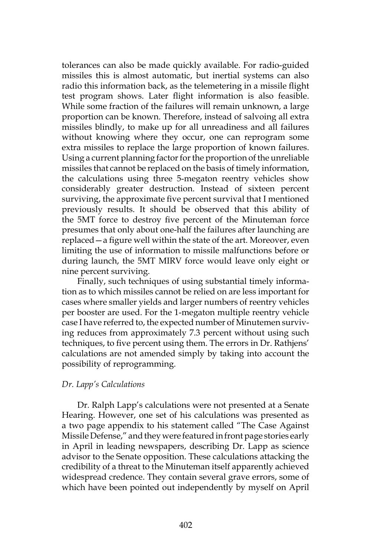tolerances can also be made quickly available. For radio-guided missiles this is almost automatic, but inertial systems can also radio this information back, as the telemetering in a missile flight test program shows. Later flight information is also feasible. While some fraction of the failures will remain unknown, a large proportion can be known. Therefore, instead of salvoing all extra missiles blindly, to make up for all unreadiness and all failures without knowing where they occur, one can reprogram some extra missiles to replace the large proportion of known failures. Using a current planning factor for the proportion of the unreliable missiles that cannot be replaced on the basis of timely information, the calculations using three 5-megaton reentry vehicles show considerably greater destruction. Instead of sixteen percent surviving, the approximate five percent survival that I mentioned previously results. It should be observed that this ability of the 5MT force to destroy five percent of the Minuteman force presumes that only about one-half the failures after launching are replaced—a figure well within the state of the art. Moreover, even limiting the use of information to missile malfunctions before or during launch, the 5MT MIRV force would leave only eight or nine percent surviving.

Finally, such techniques of using substantial timely information as to which missiles cannot be relied on are less important for cases where smaller yields and larger numbers of reentry vehicles per booster are used. For the 1-megaton multiple reentry vehicle case I have referred to, the expected number of Minutemen surviving reduces from approximately 7.3 percent without using such techniques, to five percent using them. The errors in Dr. Rathjens' calculations are not amended simply by taking into account the possibility of reprogramming.

### *Dr. Lapp's Calculations*

Dr. Ralph Lapp's calculations were not presented at a Senate Hearing. However, one set of his calculations was presented as a two page appendix to his statement called "The Case Against Missile Defense," and they were featured in front page stories early in April in leading newspapers, describing Dr. Lapp as science advisor to the Senate opposition. These calculations attacking the credibility of a threat to the Minuteman itself apparently achieved widespread credence. They contain several grave errors, some of which have been pointed out independently by myself on April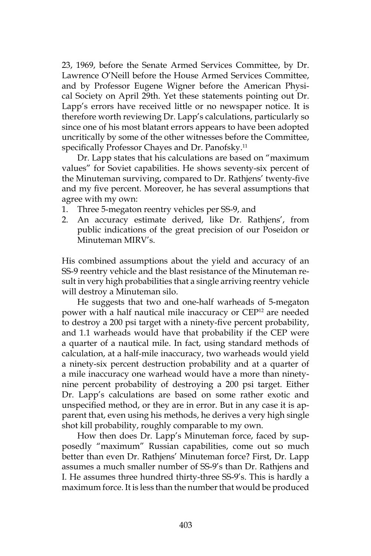23, 1969, before the Senate Armed Services Committee, by Dr. Lawrence O'Neill before the House Armed Services Committee, and by Professor Eugene Wigner before the American Physical Society on April 29th. Yet these statements pointing out Dr. Lapp's errors have received little or no newspaper notice. It is therefore worth reviewing Dr. Lapp's calculations, particularly so since one of his most blatant errors appears to have been adopted uncritically by some of the other witnesses before the Committee, specifically Professor Chayes and Dr. Panofsky.<sup>11</sup>

Dr. Lapp states that his calculations are based on "maximum values" for Soviet capabilities. He shows seventy-six percent of the Minuteman surviving, compared to Dr. Rathjens' twenty-five and my five percent. Moreover, he has several assumptions that agree with my own:

- 1. Three 5-megaton reentry vehicles per SS-9, and
- 2. An accuracy estimate derived, like Dr. Rathjens', from public indications of the great precision of our Poseidon or Minuteman MIRV's.

His combined assumptions about the yield and accuracy of an SS-9 reentry vehicle and the blast resistance of the Minuteman result in very high probabilities that a single arriving reentry vehicle will destroy a Minuteman silo.

He suggests that two and one-half warheads of 5-megaton power with a half nautical mile inaccuracy or CEP<sup>12</sup> are needed to destroy a 200 psi target with a ninety-five percent probability, and 1.1 warheads would have that probability if the CEP were a quarter of a nautical mile. In fact, using standard methods of calculation, at a half-mile inaccuracy, two warheads would yield a ninety-six percent destruction probability and at a quarter of a mile inaccuracy one warhead would have a more than ninetynine percent probability of destroying a 200 psi target. Either Dr. Lapp's calculations are based on some rather exotic and unspecified method, or they are in error. But in any case it is apparent that, even using his methods, he derives a very high single shot kill probability, roughly comparable to my own.

How then does Dr. Lapp's Minuteman force, faced by supposedly "maximum" Russian capabilities, come out so much better than even Dr. Rathjens' Minuteman force? First, Dr. Lapp assumes a much smaller number of SS-9's than Dr. Rathjens and I. He assumes three hundred thirty-three SS-9's. This is hardly a maximum force. It is less than the number that would be produced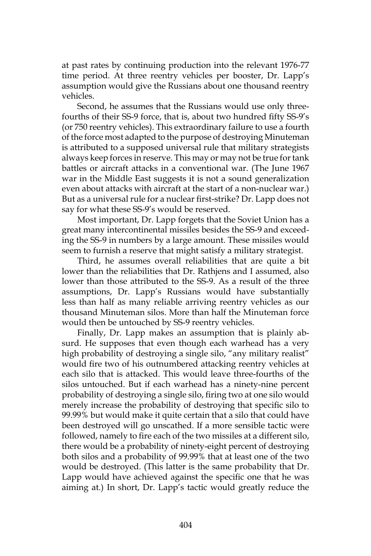at past rates by continuing production into the relevant 1976-77 time period. At three reentry vehicles per booster, Dr. Lapp's assumption would give the Russians about one thousand reentry vehicles.

Second, he assumes that the Russians would use only threefourths of their SS-9 force, that is, about two hundred fifty SS-9's (or 750 reentry vehicles). This extraordinary failure to use a fourth of the force most adapted to the purpose of destroying Minuteman is attributed to a supposed universal rule that military strategists always keep forces in reserve. This may or may not be true for tank battles or aircraft attacks in a conventional war. (The June 1967 war in the Middle East suggests it is not a sound generalization even about attacks with aircraft at the start of a non-nuclear war.) But as a universal rule for a nuclear first-strike? Dr. Lapp does not say for what these SS-9's would be reserved.

Most important, Dr. Lapp forgets that the Soviet Union has a great many intercontinental missiles besides the SS-9 and exceeding the SS-9 in numbers by a large amount. These missiles would seem to furnish a reserve that might satisfy a military strategist.

Third, he assumes overall reliabilities that are quite a bit lower than the reliabilities that Dr. Rathjens and I assumed, also lower than those attributed to the SS-9. As a result of the three assumptions, Dr. Lapp's Russians would have substantially less than half as many reliable arriving reentry vehicles as our thousand Minuteman silos. More than half the Minuteman force would then be untouched by SS-9 reentry vehicles.

Finally, Dr. Lapp makes an assumption that is plainly absurd. He supposes that even though each warhead has a very high probability of destroying a single silo, "any military realist" would fire two of his outnumbered attacking reentry vehicles at each silo that is attacked. This would leave three-fourths of the silos untouched. But if each warhead has a ninety-nine percent probability of destroying a single silo, firing two at one silo would merely increase the probability of destroying that specific silo to 99.99% but would make it quite certain that a silo that could have been destroyed will go unscathed. If a more sensible tactic were followed, namely to fire each of the two missiles at a different silo, there would be a probability of ninety-eight percent of destroying both silos and a probability of 99.99% that at least one of the two would be destroyed. (This latter is the same probability that Dr. Lapp would have achieved against the specific one that he was aiming at.) In short, Dr. Lapp's tactic would greatly reduce the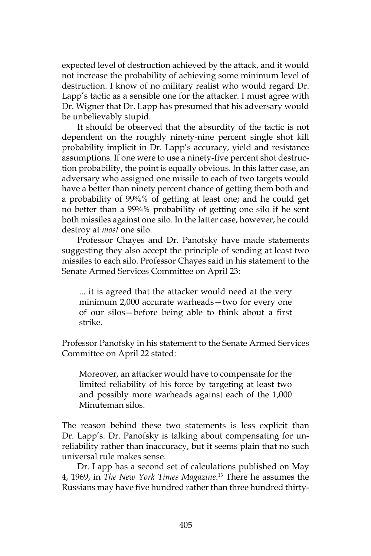expected level of destruction achieved by the attack, and it would not increase the probability of achieving some minimum level of destruction. I know of no military realist who would regard Dr. Lapp's tactic as a sensible one for the attacker. I must agree with Dr. Wigner that Dr. Lapp has presumed that his adversary would be unbelievably stupid.

It should be observed that the absurdity of the tactic is not dependent on the roughly ninety-nine percent single shot kill probability implicit in Dr. Lapp's accuracy, yield and resistance assumptions. If one were to use a ninety-five percent shot destruction probability, the point is equally obvious. In this latter case, an adversary who assigned one missile to each of two targets would have a better than ninety percent chance of getting them both and a probability of 99¾% of getting at least one; and he could get no better than a 99¾% probability of getting one silo if he sent both missiles against one silo. In the latter case, however, he could destroy at *most* one silo.

Professor Chayes and Dr. Panofsky have made statements suggesting they also accept the principle of sending at least two missiles to each silo. Professor Chayes said in his statement to the Senate Armed Services Committee on April 23:

... it is agreed that the attacker would need at the very minimum 2,000 accurate warheads—two for every one of our silos—before being able to think about a first strike.

Professor Panofsky in his statement to the Senate Armed Services Committee on April 22 stated:

Moreover, an attacker would have to compensate for the limited reliability of his force by targeting at least two and possibly more warheads against each of the 1,000 Minuteman silos.

The reason behind these two statements is less explicit than Dr. Lapp's. Dr. Panofsky is talking about compensating for unreliability rather than inaccuracy, but it seems plain that no such universal rule makes sense.

Dr. Lapp has a second set of calculations published on May 4, 1969, in *The New York Times Magazine*. 13 There he assumes the Russians may have five hundred rather than three hundred thirty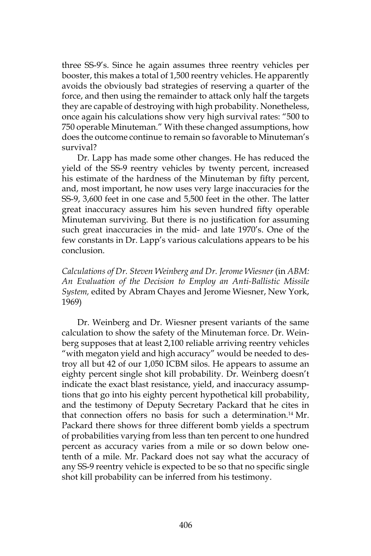three SS-9's. Since he again assumes three reentry vehicles per booster, this makes a total of 1,500 reentry vehicles. He apparently avoids the obviously bad strategies of reserving a quarter of the force, and then using the remainder to attack only half the targets they are capable of destroying with high probability. Nonetheless, once again his calculations show very high survival rates: "500 to 750 operable Minuteman." With these changed assumptions, how does the outcome continue to remain so favorable to Minuteman's survival?

Dr. Lapp has made some other changes. He has reduced the yield of the SS-9 reentry vehicles by twenty percent, increased his estimate of the hardness of the Minuteman by fifty percent, and, most important, he now uses very large inaccuracies for the SS-9, 3,600 feet in one case and 5,500 feet in the other. The latter great inaccuracy assures him his seven hundred fifty operable Minuteman surviving. But there is no justification for assuming such great inaccuracies in the mid- and late 1970's. One of the few constants in Dr. Lapp's various calculations appears to be his conclusion.

*Calculations of Dr. Steven Weinberg and Dr. Jerome Wiesner (in ABM: An Evaluation of the Decision to Employ an Anti-Ballistic Missile System,* edited by Abram Chayes and Jerome Wiesner, New York, 1969)

Dr. Weinberg and Dr. Wiesner present variants of the same calculation to show the safety of the Minuteman force. Dr. Weinberg supposes that at least 2,100 reliable arriving reentry vehicles "with megaton yield and high accuracy" would be needed to destroy all but 42 of our 1,050 ICBM silos. He appears to assume an eighty percent single shot kill probability. Dr. Weinberg doesn't indicate the exact blast resistance, yield, and inaccuracy assumptions that go into his eighty percent hypothetical kill probability, and the testimony of Deputy Secretary Packard that he cites in that connection offers no basis for such a determination.14 Mr. Packard there shows for three different bomb yields a spectrum of probabilities varying from less than ten percent to one hundred percent as accuracy varies from a mile or so down below onetenth of a mile. Mr. Packard does not say what the accuracy of any SS-9 reentry vehicle is expected to be so that no specific single shot kill probability can be inferred from his testimony.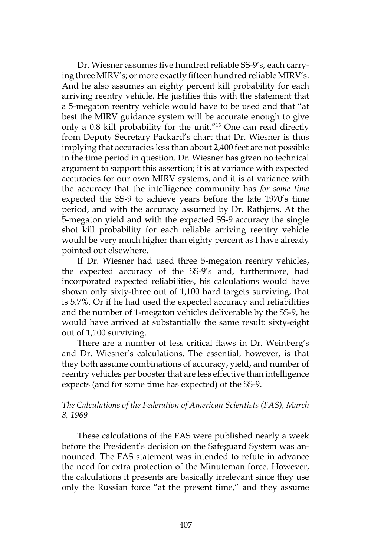Dr. Wiesner assumes five hundred reliable SS-9's, each carrying three MIRV's; or more exactly fifteen hundred reliable MIRV's. And he also assumes an eighty percent kill probability for each arriving reentry vehicle. He justifies this with the statement that a 5-megaton reentry vehicle would have to be used and that "at best the MIRV guidance system will be accurate enough to give only a 0.8 kill probability for the unit."15 One can read directly from Deputy Secretary Packard's chart that Dr. Wiesner is thus implying that accuracies less than about 2,400 feet are not possible in the time period in question. Dr. Wiesner has given no technical argument to support this assertion; it is at variance with expected accuracies for our own MIRV systems, and it is at variance with the accuracy that the intelligence community has *for some time*  expected the SS-9 to achieve years before the late 1970's time period, and with the accuracy assumed by Dr. Rathjens. At the 5-megaton yield and with the expected SS-9 accuracy the single shot kill probability for each reliable arriving reentry vehicle would be very much higher than eighty percent as I have already pointed out elsewhere.

If Dr. Wiesner had used three 5-megaton reentry vehicles, the expected accuracy of the SS-9's and, furthermore, had incorporated expected reliabilities, his calculations would have shown only sixty-three out of 1,100 hard targets surviving, that is 5.7%. Or if he had used the expected accuracy and reliabilities and the number of 1-megaton vehicles deliverable by the SS-9, he would have arrived at substantially the same result: sixty-eight out of 1,100 surviving.

There are a number of less critical flaws in Dr. Weinberg's and Dr. Wiesner's calculations. The essential, however, is that they both assume combinations of accuracy, yield, and number of reentry vehicles per booster that are less effective than intelligence expects (and for some time has expected) of the SS-9.

# *The Calculations of the Federation of American Scientists (FAS), March 8, 1969*

These calculations of the FAS were published nearly a week before the President's decision on the Safeguard System was announced. The FAS statement was intended to refute in advance the need for extra protection of the Minuteman force. However, the calculations it presents are basically irrelevant since they use only the Russian force "at the present time," and they assume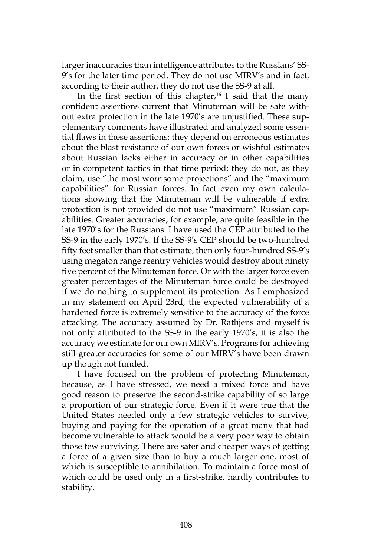larger inaccuracies than intelligence attributes to the Russians' SS-9's for the later time period. They do not use MIRV's and in fact, according to their author, they do not use the SS-9 at all.

In the first section of this chapter, $16$  I said that the many confident assertions current that Minuteman will be safe without extra protection in the late 1970's are unjustified. These supplementary comments have illustrated and analyzed some essential flaws in these assertions: they depend on erroneous estimates about the blast resistance of our own forces or wishful estimates about Russian lacks either in accuracy or in other capabilities or in competent tactics in that time period; they do not, as they claim, use "the most worrisome projections" and the "maximum capabilities" for Russian forces. In fact even my own calculations showing that the Minuteman will be vulnerable if extra protection is not provided do not use "maximum" Russian capabilities. Greater accuracies, for example, are quite feasible in the late 1970's for the Russians. I have used the CEP attributed to the SS-9 in the early 1970's. If the SS-9's CEP should be two-hundred fifty feet smaller than that estimate, then only four-hundred SS-9's using megaton range reentry vehicles would destroy about ninety five percent of the Minuteman force. Or with the larger force even greater percentages of the Minuteman force could be destroyed if we do nothing to supplement its protection. As I emphasized in my statement on April 23rd, the expected vulnerability of a hardened force is extremely sensitive to the accuracy of the force attacking. The accuracy assumed by Dr. Rathjens and myself is not only attributed to the SS-9 in the early 1970's, it is also the accuracy we estimate for our own MIRV's. Programs for achieving still greater accuracies for some of our MIRV's have been drawn up though not funded.

I have focused on the problem of protecting Minuteman, because, as I have stressed, we need a mixed force and have good reason to preserve the second-strike capability of so large a proportion of our strategic force. Even if it were true that the United States needed only a few strategic vehicles to survive, buying and paying for the operation of a great many that had become vulnerable to attack would be a very poor way to obtain those few surviving. There are safer and cheaper ways of getting a force of a given size than to buy a much larger one, most of which is susceptible to annihilation. To maintain a force most of which could be used only in a first-strike, hardly contributes to stability.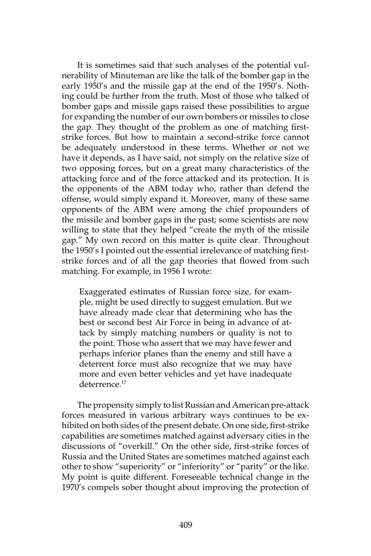It is sometimes said that such analyses of the potential vulnerability of Minuteman are like the talk of the bomber gap in the early 1950's and the missile gap at the end of the 1950's. Nothing could be further from the truth. Most of those who talked of bomber gaps and missile gaps raised these possibilities to argue for expanding the number of our own bombers or missiles to close the gap. They thought of the problem as one of matching firststrike forces. But how to maintain a second-strike force cannot be adequately understood in these terms. Whether or not we have it depends, as I have said, not simply on the relative size of two opposing forces, but on a great many characteristics of the attacking force and of the force attacked and its protection. It is the opponents of the ABM today who, rather than defend the offense, would simply expand it. Moreover, many of these same opponents of the ABM were among the chief propounders of the missile and bomber gaps in the past; some scientists are now willing to state that they helped "create the myth of the missile gap." My own record on this matter is quite clear. Throughout the 1950's I pointed out the essential irrelevance of matching firststrike forces and of all the gap theories that flowed from such matching. For example, in 1956 I wrote:

Exaggerated estimates of Russian force size, for example, might be used directly to suggest emulation. But we have already made clear that determining who has the best or second best Air Force in being in advance of attack by simply matching numbers or quality is not to the point. Those who assert that we may have fewer and perhaps inferior planes than the enemy and still have a deterrent force must also recognize that we may have more and even better vehicles and yet have inadequate deterrence.<sup>17</sup>

The propensity simply to list Russian and American pre-attack forces measured in various arbitrary ways continues to be exhibited on both sides of the present debate. On one side, first-strike capabilities are sometimes matched against adversary cities in the discussions of "overkill." On the other side, first-strike forces of Russia and the United States are sometimes matched against each other to show "superiority" or "inferiority" or "parity" or the like. My point is quite different. Foreseeable technical change in the 1970's compels sober thought about improving the protection of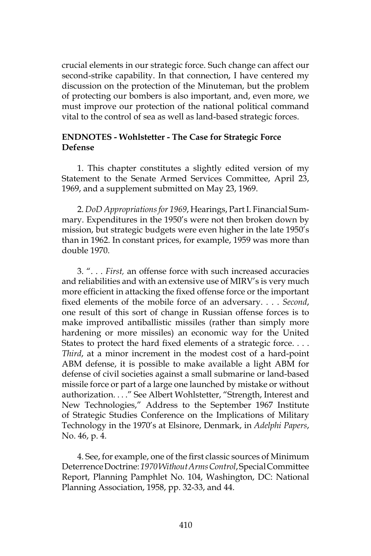crucial elements in our strategic force. Such change can affect our second-strike capability. In that connection, I have centered my discussion on the protection of the Minuteman, but the problem of protecting our bombers is also important, and, even more, we must improve our protection of the national political command vital to the control of sea as well as land-based strategic forces.

# **ENDNOTES - Wohlstetter - The Case for Strategic Force Defense**

1. This chapter constitutes a slightly edited version of my Statement to the Senate Armed Services Committee, April 23, 1969, and a supplement submitted on May 23, 1969.

2. *DoD Appropriations for 1969*, Hearings, Part I. Financial Summary. Expenditures in the 1950's were not then broken down by mission, but strategic budgets were even higher in the late 1950's than in 1962. In constant prices, for example, 1959 was more than double 1970.

3. ". . . *First,* an offense force with such increased accuracies and reliabilities and with an extensive use of MIRV's is very much more efficient in attacking the fixed offense force or the important fixed elements of the mobile force of an adversary. . . . *Second*, one result of this sort of change in Russian offense forces is to make improved antiballistic missiles (rather than simply more hardening or more missiles) an economic way for the United States to protect the hard fixed elements of a strategic force. . . . *Third*, at a minor increment in the modest cost of a hard-point ABM defense, it is possible to make available a light ABM for defense of civil societies against a small submarine or land-based missile force or part of a large one launched by mistake or without authorization. . . ." See Albert Wohlstetter, "Strength, Interest and New Technologies," Address to the September 1967 Institute of Strategic Studies Conference on the Implications of Military Technology in the 1970's at Elsinore, Denmark, in *Adelphi Papers*, No. 46, p. 4.

4. See, for example, one of the first classic sources of Minimum Deterrence Doctrine: *1970 Without Arms Control*, Special Committee Report, Planning Pamphlet No. 104, Washington, DC: National Planning Association, 1958, pp. 32-33, and 44.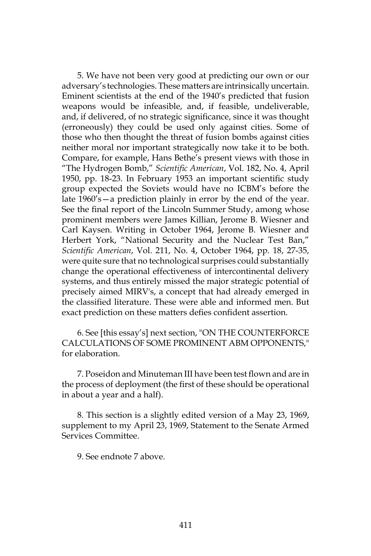5. We have not been very good at predicting our own or our adversary's technologies. These matters are intrinsically uncertain. Eminent scientists at the end of the 1940's predicted that fusion weapons would be infeasible, and, if feasible, undeliverable, and, if delivered, of no strategic significance, since it was thought (erroneously) they could be used only against cities. Some of those who then thought the threat of fusion bombs against cities neither moral nor important strategically now take it to be both. Compare, for example, Hans Bethe's present views with those in "The Hydrogen Bomb," *Scientific American*, Vol. 182, No. 4, April 1950, pp. 18-23. In February 1953 an important scientific study group expected the Soviets would have no ICBM's before the late 1960's—a prediction plainly in error by the end of the year. See the final report of the Lincoln Summer Study, among whose prominent members were James Killian, Jerome B. Wiesner and Carl Kaysen. Writing in October 1964, Jerome B. Wiesner and Herbert York, "National Security and the Nuclear Test Ban," *Scientific American*, Vol. 211, No. 4, October 1964, pp. 18, 27-35, were quite sure that no technological surprises could substantially change the operational effectiveness of intercontinental delivery systems, and thus entirely missed the major strategic potential of precisely aimed MIRV's, a concept that had already emerged in the classified literature. These were able and informed men. But exact prediction on these matters defies confident assertion.

6. See [this essay's] next section, "ON THE COUNTERFORCE CALCULATIONS OF SOME PROMINENT ABM OPPONENTS," for elaboration.

7. Poseidon and Minuteman III have been test flown and are in the process of deployment (the first of these should be operational in about a year and a half).

8. This section is a slightly edited version of a May 23, 1969, supplement to my April 23, 1969, Statement to the Senate Armed Services Committee.

9. See endnote 7 above.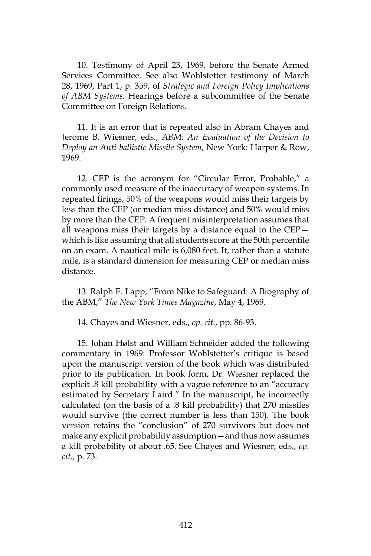10. Testimony of April 23, 1969, before the Senate Armed Services Committee. See also Wohlstetter testimony of March 28, 1969, Part 1, p. 359, of *Strategic and Foreign Policy Implications of ABM Systems,* Hearings before a subcommittee of the Senate Committee on Foreign Relations.

11. It is an error that is repeated also in Abram Chayes and Jerome B. Wiesner, eds., *ABM: An Evaluation of the Decision to Deploy an Anti-ballistic Missile System*, New York: Harper & Row, 1969.

12. CEP is the acronym for "Circular Error, Probable," a commonly used measure of the inaccuracy of weapon systems. In repeated firings, 50% of the weapons would miss their targets by less than the CEP (or median miss distance) and 50% would miss by more than the CEP. A frequent misinterpretation assumes that all weapons miss their targets by a distance equal to the CEP which is like assuming that all students score at the 50th percentile on an exam. A nautical mile is 6,080 feet. It, rather than a statute mile, is a standard dimension for measuring CEP or median miss distance.

13. Ralph E. Lapp, "From Nike to Safeguard: A Biography of the ABM," *The New York Times Magazine*, May 4, 1969.

14. Chayes and Wiesner, eds., *op. cit.*, pp. 86-93.

15. Johan Hølst and William Schneider added the following commentary in 1969: Professor Wohlstetter's critique is based upon the manuscript version of the book which was distributed prior to its publication. In book form, Dr. Wiesner replaced the explicit .8 kill probability with a vague reference to an "accuracy estimated by Secretary Laird." In the manuscript, he incorrectly calculated (on the basis of a .8 kill probability) that 270 missiles would survive (the correct number is less than 150). The book version retains the "conclusion" of 270 survivors but does not make any explicit probability assumption—and thus now assumes a kill probability of about .65. See Chayes and Wiesner, eds., *op. cit.,* p. 73.